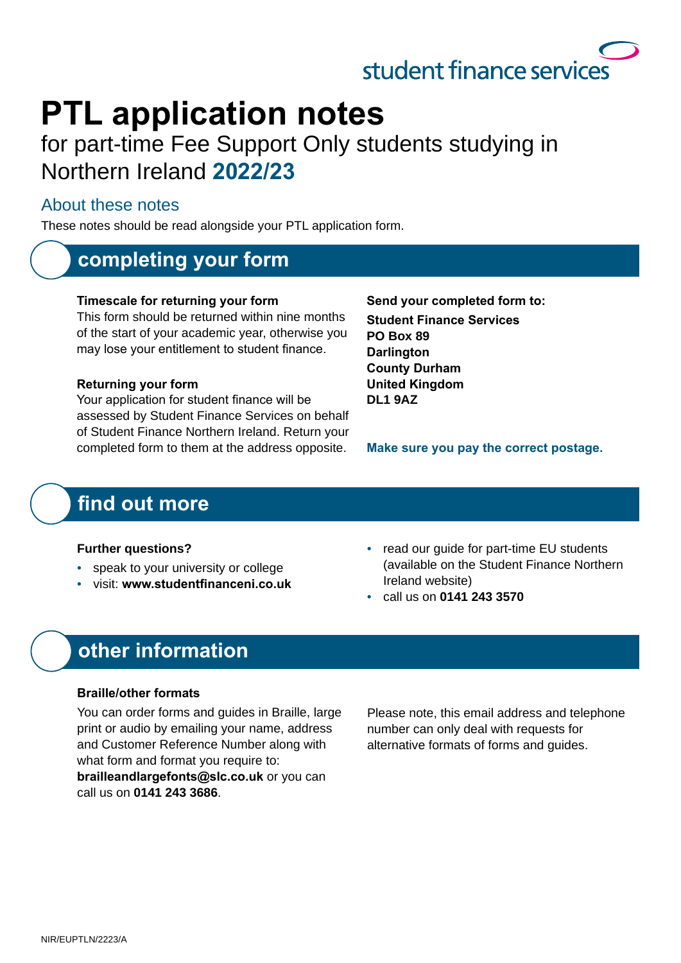# student finance services

# **PTL** application notes

### for part-time Fee Support Only students studying in Northern Ireland **2022/23**

#### About these notes

These notes should be read alongside your PTL application form.

### **completing your form**

#### **Timescale for returning your form**

This form should be returned within nine months of the start of your academic year, otherwise you may lose your entitlement to student finance.

#### **Returning your form**

Your application for student finance will be assessed by Student Finance Services on behalf of Student Finance Northern Ireland. Return your completed form to them at the address opposite.

Send your completed form to: **Student Finance Services PO Box 89 Darlington County Durham United Kingdom DL1 9AZ**

**Make sure you pay the correct postage.** 

### find out more

#### **Further questions?**

- speak to your university or college
- visit: **www.studentfinanceni.co.uk**
- read our quide for part-time EU students (available on the Student Finance Northern Ireland website)
- call us on **0141 243 3570**

### **other information**

#### **Braille/other formats**

You can order forms and guides in Braille, large print or audio by emailing your name, address and Customer Reference Number along with what form and format you require to: **brailleandlargefonts@slc.co.uk** or you can call us on **0141 243 3686**.

Please note, this email address and telephone number can only deal with requests for alternative formats of forms and guides.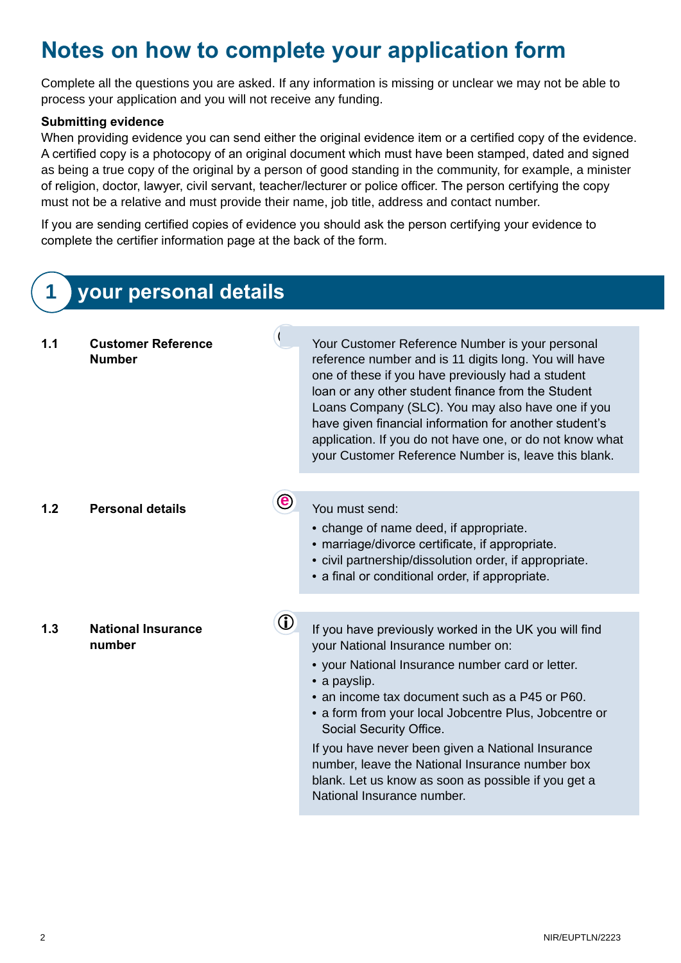### **Notes on how to complete your application form**

Complete all the questions you are asked. If any information is missing or unclear we may not be able to process your application and you will not receive any funding.

#### **Submitting evidence**

When providing evidence you can send either the original evidence item or a certified copy of the evidence. A certified copy is a photocopy of an original document which must have been stamped, dated and signed as being a true copy of the original by a person of good standing in the community, for example, a minister of religion, doctor, lawyer, civil servant, teacher/lecturer or police officer. The person certifying the copy must not be a relative and must provide their name, job title, address and contact number.

If you are sending certified copies of evidence you should ask the person certifying your evidence to complete the certifier information page at the back of the form.

|     | your personal details                      |                             |                                                                                                                                                                                                                                                                                                                                                                                                                                                                                                    |  |  |
|-----|--------------------------------------------|-----------------------------|----------------------------------------------------------------------------------------------------------------------------------------------------------------------------------------------------------------------------------------------------------------------------------------------------------------------------------------------------------------------------------------------------------------------------------------------------------------------------------------------------|--|--|
| 1.1 | <b>Customer Reference</b><br><b>Number</b> |                             | Your Customer Reference Number is your personal<br>reference number and is 11 digits long. You will have<br>one of these if you have previously had a student<br>loan or any other student finance from the Student<br>Loans Company (SLC). You may also have one if you<br>have given financial information for another student's<br>application. If you do not have one, or do not know what<br>your Customer Reference Number is, leave this blank.                                             |  |  |
| 1.2 | <b>Personal details</b>                    | $\left( \mathbf{e} \right)$ | You must send:<br>• change of name deed, if appropriate.<br>• marriage/divorce certificate, if appropriate.<br>• civil partnership/dissolution order, if appropriate.<br>• a final or conditional order, if appropriate.                                                                                                                                                                                                                                                                           |  |  |
| 1.3 | <b>National Insurance</b><br>number        | $\bf U$                     | If you have previously worked in the UK you will find<br>your National Insurance number on:<br>• your National Insurance number card or letter.<br>• a payslip.<br>• an income tax document such as a P45 or P60.<br>• a form from your local Jobcentre Plus, Jobcentre or<br>Social Security Office.<br>If you have never been given a National Insurance<br>number, leave the National Insurance number box<br>blank. Let us know as soon as possible if you get a<br>National Insurance number. |  |  |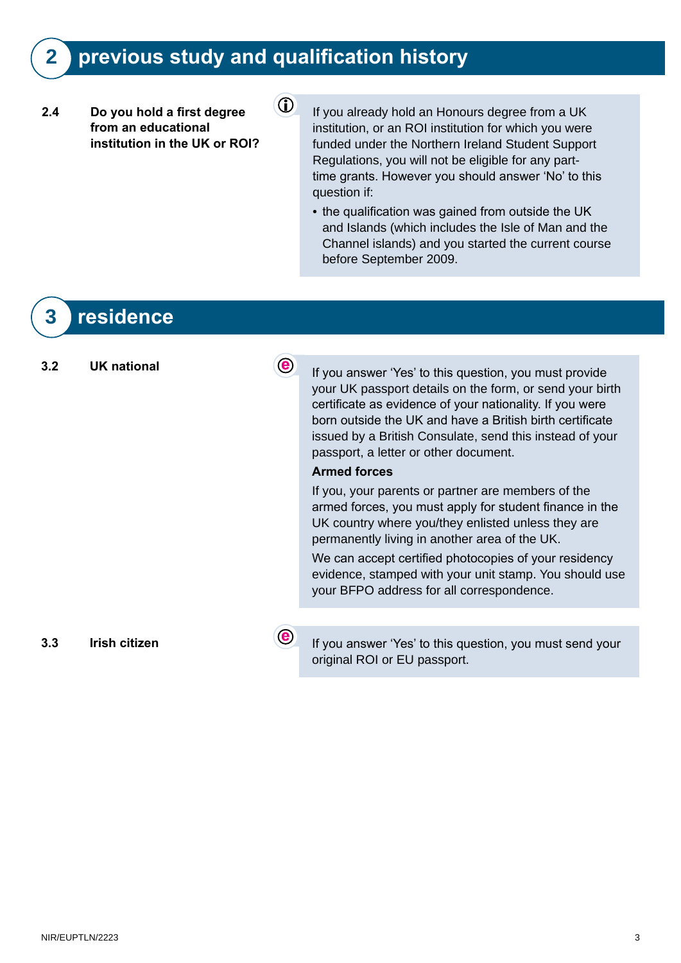### **2 previous study and qualification history**

 $\bigcirc$ 

#### **2.4** Do you hold a first degree from an educational **institution in the UK or ROI?**

- If you already hold an Honours degree from a UK institution, or an ROI institution for which you were funded under the Northern Ireland Student Support Regulations, you will not be eligible for any parttime grants. However you should answer 'No' to this question if:
- the qualification was gained from outside the UK and Islands (which includes the Isle of Man and the Channel islands) and you started the current course before September 2009.

### **3 residence**

**3.2 UK national If you answer 'Yes' to this question, you must provide** your UK passport details on the form, or send your birth certificate as evidence of your nationality. If you were born outside the UK and have a British birth certificate issued by a British Consulate, send this instead of your passport, a letter or other document.

#### **Armed forces**

If you, your parents or partner are members of the armed forces, you must apply for student finance in the UK country where you/they enlisted unless they are permanently living in another area of the UK.

We can accept certified photocopies of your residency evidence, stamped with your unit stamp. You should use your BFPO address for all correspondence.

**3.3** Irish citizen **If you answer 'Yes' to this question, you must send your** original ROI or EU passport.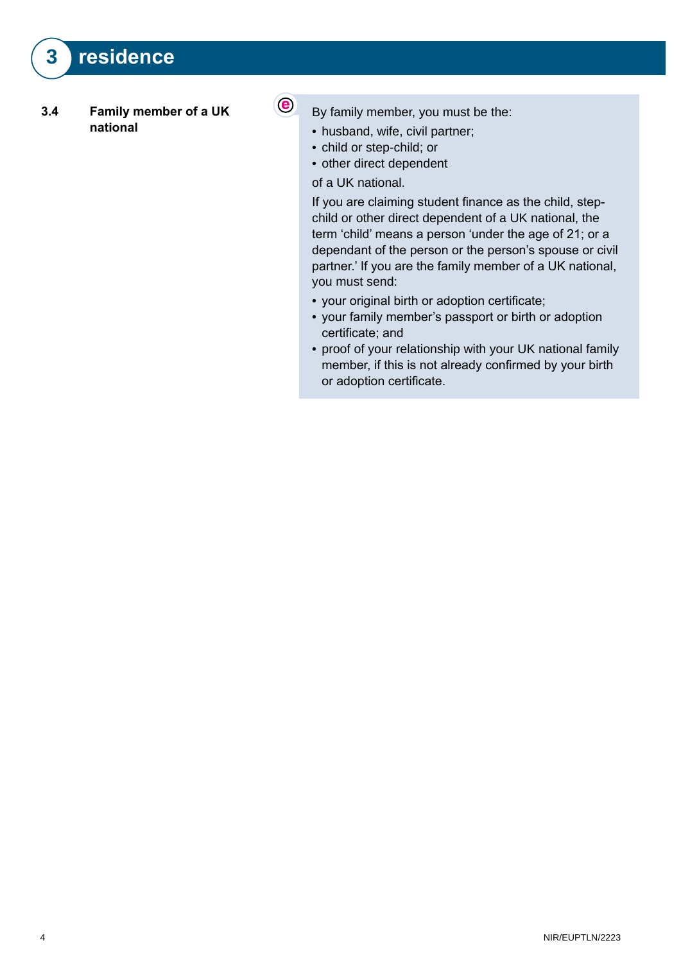#### **3.4 Family member of a UK national**

- $\odot$
- By family member, you must be the:
- husband, wife, civil partner;
- child or step-child; or
- other direct dependent

#### of a UK national.

If you are claiming student finance as the child, stepchild or other direct dependent of a UK national, the term 'child' means a person 'under the age of 21; or a dependant of the person or the person's spouse or civil partner.' If you are the family member of a UK national, you must send:

- your original birth or adoption certificate;
- your family member's passport or birth or adoption certificate; and
- proof of your relationship with your UK national family member, if this is not already confirmed by your birth or adoption certificate.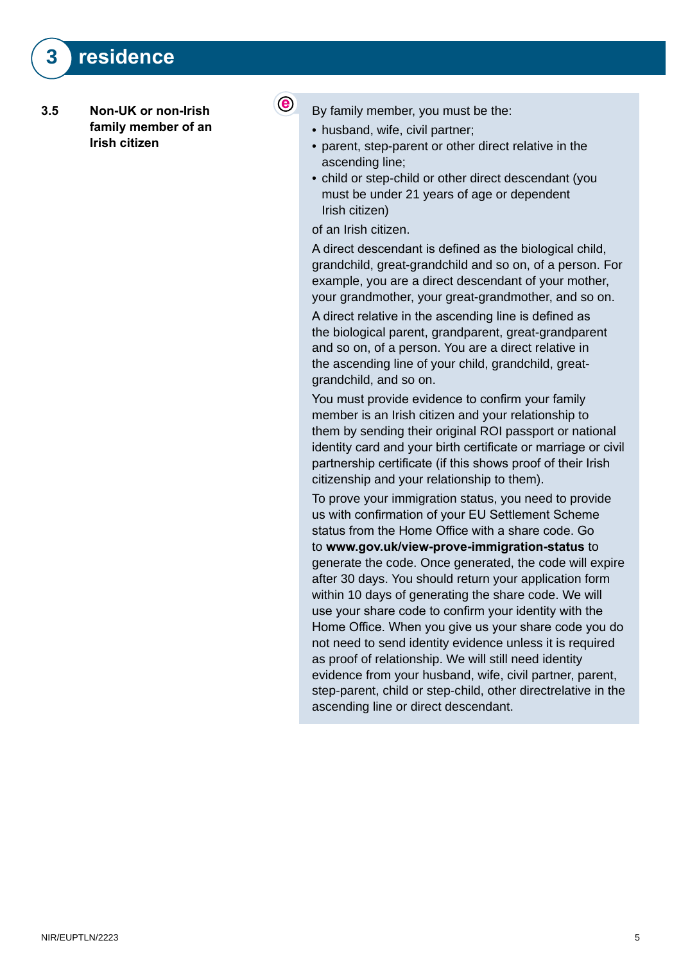- **3.5 Non-UK or non-Irish**  family member of an **Irish citizen**
- $\left( \bullet \right)$
- By family member, you must be the:
- husband, wife, civil partner;
- parent, step-parent or other direct relative in the ascending line;
- child or step-child or other direct descendant (you must be under 21 years of age or dependent Irish citizen)

of an Irish citizen.

A direct descendant is defined as the biological child, grandchild, great-grandchild and so on, of a person. For example, you are a direct descendant of your mother, your grandmother, your great-grandmother, and so on.

A direct relative in the ascending line is defined as the biological parent, grandparent, great-grandparent and so on, of a person. You are a direct relative in the ascending line of your child, grandchild, greatgrandchild, and so on.

You must provide evidence to confirm your family member is an Irish citizen and your relationship to them by sending their original ROI passport or national identity card and your birth certificate or marriage or civil partnership certificate (if this shows proof of their Irish citizenship and your relationship to them).

To prove your immigration status, you need to provide us with confirmation of your EU Settlement Scheme status from the Home Office with a share code. Go to **www.gov.uk/view-prove-immigration-status** to generate the code. Once generated, the code will expire after 30 days. You should return your application form within 10 days of generating the share code. We will use your share code to confirm your identity with the Home Office. When you give us your share code you do not need to send identity evidence unless it is required as proof of relationship. We will still need identity evidence from your husband, wife, civil partner, parent, step-parent, child or step-child, other directrelative in the ascending line or direct descendant.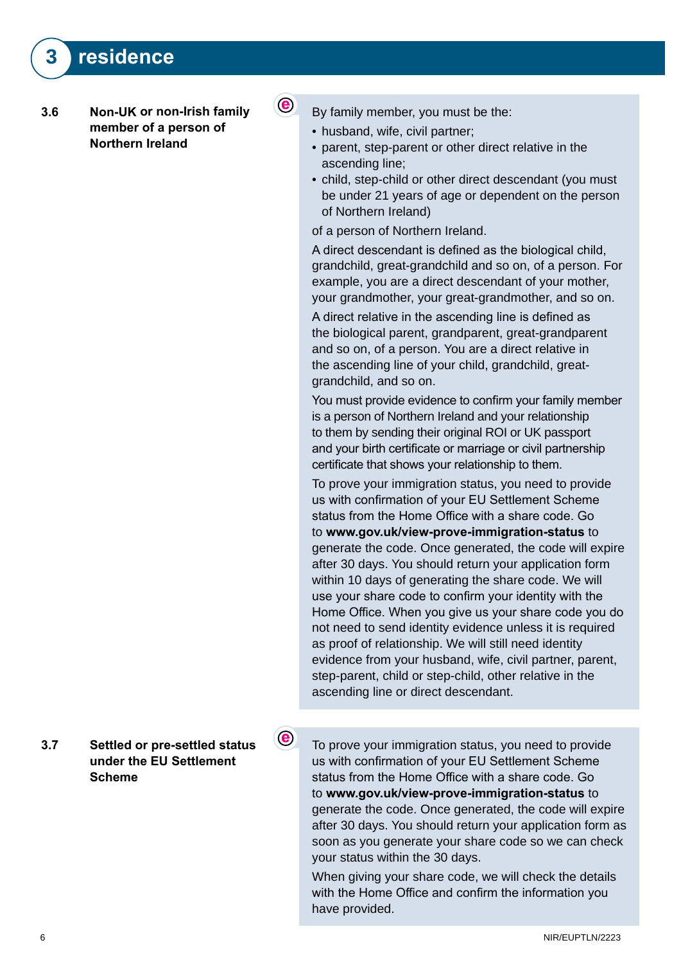#### **3.6 Non-UK or non-Irish family**  member of a person of **Northern Ireland**

By family member, you must be the:

• husband, wife, civil partner;

 $\odot$ 

 $\circlede$ 

- parent, step-parent or other direct relative in the ascending line;
- child, step-child or other direct descendant (you must be under 21 years of age or dependent on the person of Northern Ireland)

of a person of Northern Ireland.

A direct descendant is defined as the biological child, grandchild, great-grandchild and so on, of a person. For example, you are a direct descendant of your mother, your grandmother, your great-grandmother, and so on.

A direct relative in the ascending line is defined as the biological parent, grandparent, great-grandparent and so on, of a person. You are a direct relative in the ascending line of your child, grandchild, greatgrandchild, and so on.

You must provide evidence to confirm your family member is a person of Northern Ireland and your relationship to them by sending their original ROI or UK passport and your birth certificate or marriage or civil partnership certificate that shows your relationship to them.

To prove your immigration status, you need to provide us with confirmation of your EU Settlement Scheme status from the Home Office with a share code. Go to **www.gov.uk/view-prove-immigration-status** to generate the code. Once generated, the code will expire after 30 days. You should return your application form within 10 days of generating the share code. We will use your share code to confirm your identity with the Home Office. When you give us your share code you do not need to send identity evidence unless it is required as proof of relationship. We will still need identity evidence from your husband, wife, civil partner, parent, step-parent, child or step-child, other relative in the ascending line or direct descendant.

**3.7 Settled or pre-settled status**  under the **EU** Settlement **Scheme**

To prove your immigration status, you need to provide us with confirmation of your EU Settlement Scheme status from the Home Office with a share code. Go to **www.gov.uk/view-prove-immigration-status** to generate the code. Once generated, the code will expire after 30 days. You should return your application form as soon as you generate your share code so we can check your status within the 30 days.

When giving your share code, we will check the details with the Home Office and confirm the information you have provided.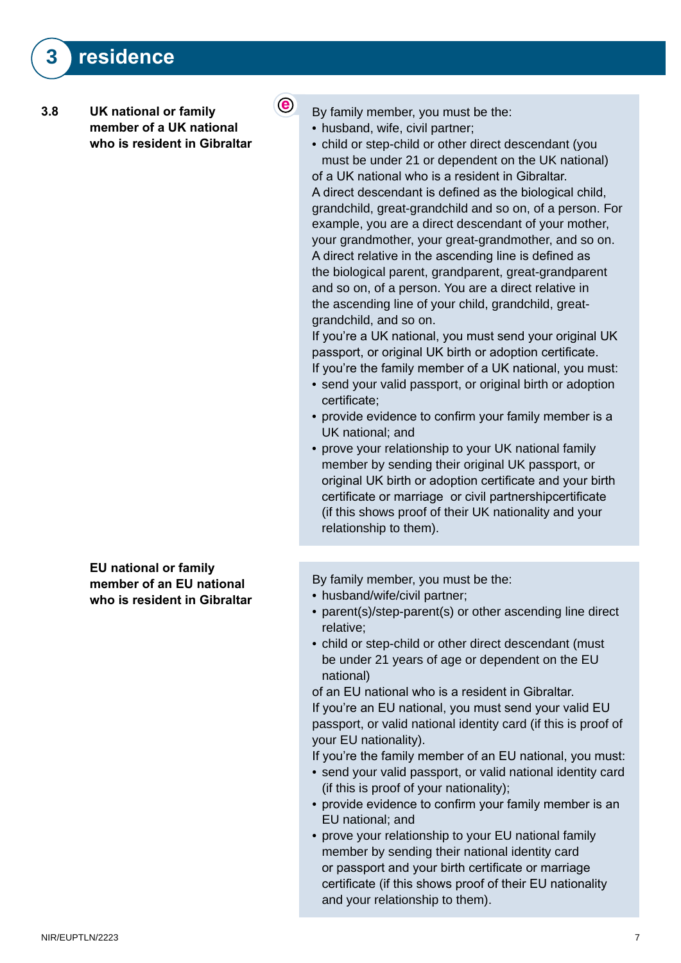#### **3.8** UK national or family member of a UK national who is resident in Gibraltar

**EU** national or family member of an EU national who is resident in Gibraltar By family member, you must be the:

• husband, wife, civil partner;

 $\odot$ 

• child or step-child or other direct descendant (you must be under 21 or dependent on the UK national) of a UK national who is a resident in Gibraltar. A direct descendant is defined as the biological child, grandchild, great-grandchild and so on, of a person. For example, you are a direct descendant of your mother, your grandmother, your great-grandmother, and so on. A direct relative in the ascending line is defined as the biological parent, grandparent, great-grandparent and so on, of a person. You are a direct relative in the ascending line of your child, grandchild, greatgrandchild, and so on.

If you're a UK national, you must send your original UK passport, or original UK birth or adoption certificate. If you're the family member of a UK national, you must:

- send your valid passport, or original birth or adoption certificate;
- provide evidence to confirm your family member is a UK national; and
- prove your relationship to your UK national family member by sending their original UK passport, or original UK birth or adoption certificate and your birth certificate or marriage or civil partnershipcertificate (if this shows proof of their UK nationality and your relationship to them).

By family member, you must be the:

- husband/wife/civil partner;
- parent(s)/step-parent(s) or other ascending line direct relative;
- child or step-child or other direct descendant (must be under 21 years of age or dependent on the EU national)

of an EU national who is a resident in Gibraltar. If you're an EU national, you must send your valid EU passport, or valid national identity card (if this is proof of your EU nationality).

If you're the family member of an EU national, you must:

- send your valid passport, or valid national identity card (if this is proof of your nationality);
- provide evidence to confirm your family member is an EU national; and
- prove your relationship to your EU national family member by sending their national identity card or passport and your birth certificate or marriage certificate (if this shows proof of their EU nationality and your relationship to them).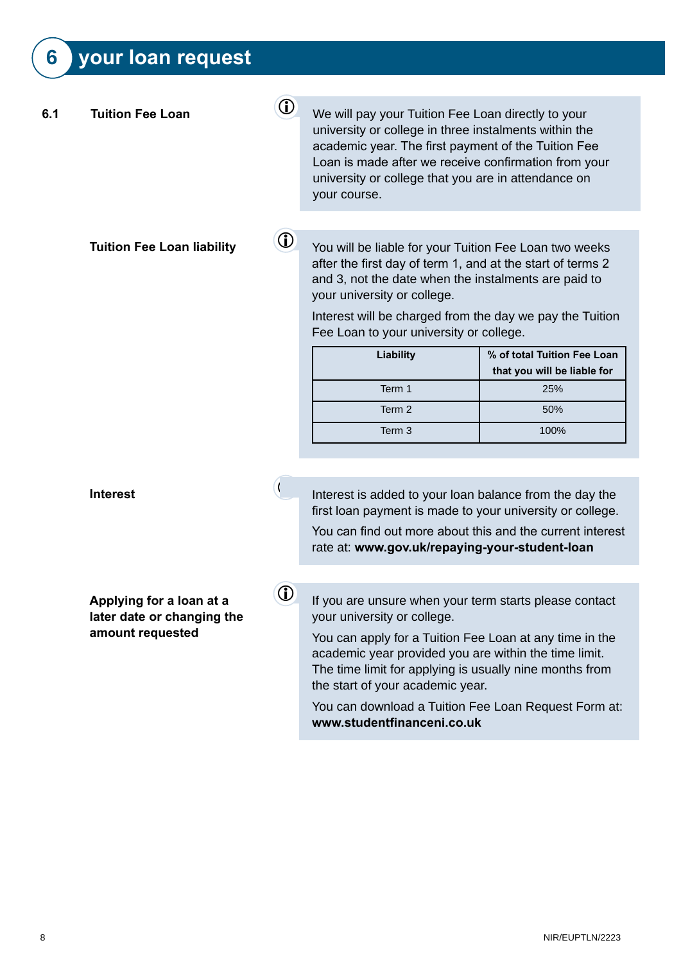## **6** your loan request

| 6.1 | <b>Tuition Fee Loan</b>                                                    | $\bigcirc$ | We will pay your Tuition Fee Loan directly to your<br>university or college in three instalments within the<br>academic year. The first payment of the Tuition Fee<br>Loan is made after we receive confirmation from your<br>university or college that you are in attendance on<br>your course.                                                                                              |                                                            |
|-----|----------------------------------------------------------------------------|------------|------------------------------------------------------------------------------------------------------------------------------------------------------------------------------------------------------------------------------------------------------------------------------------------------------------------------------------------------------------------------------------------------|------------------------------------------------------------|
|     |                                                                            |            |                                                                                                                                                                                                                                                                                                                                                                                                |                                                            |
|     | <b>Tuition Fee Loan liability</b>                                          | $\bigcirc$ | You will be liable for your Tuition Fee Loan two weeks<br>after the first day of term 1, and at the start of terms 2<br>and 3, not the date when the instalments are paid to<br>your university or college.                                                                                                                                                                                    |                                                            |
|     |                                                                            |            | Interest will be charged from the day we pay the Tuition<br>Fee Loan to your university or college.                                                                                                                                                                                                                                                                                            |                                                            |
|     |                                                                            |            | Liability                                                                                                                                                                                                                                                                                                                                                                                      | % of total Tuition Fee Loan<br>that you will be liable for |
|     |                                                                            |            | Term 1                                                                                                                                                                                                                                                                                                                                                                                         | 25%                                                        |
|     |                                                                            |            | Term 2                                                                                                                                                                                                                                                                                                                                                                                         | 50%                                                        |
|     |                                                                            |            | Term 3                                                                                                                                                                                                                                                                                                                                                                                         | 100%                                                       |
|     |                                                                            |            |                                                                                                                                                                                                                                                                                                                                                                                                |                                                            |
|     | <b>Interest</b>                                                            |            | Interest is added to your loan balance from the day the<br>first loan payment is made to your university or college.                                                                                                                                                                                                                                                                           |                                                            |
|     |                                                                            |            | You can find out more about this and the current interest<br>rate at: www.gov.uk/repaying-your-student-loan                                                                                                                                                                                                                                                                                    |                                                            |
|     |                                                                            |            |                                                                                                                                                                                                                                                                                                                                                                                                |                                                            |
|     | Applying for a loan at a<br>later date or changing the<br>amount requested | (i)        | If you are unsure when your term starts please contact<br>your university or college.<br>You can apply for a Tuition Fee Loan at any time in the<br>academic year provided you are within the time limit.<br>The time limit for applying is usually nine months from<br>the start of your academic year.<br>You can download a Tuition Fee Loan Request Form at:<br>www.studentfinanceni.co.uk |                                                            |
|     |                                                                            |            |                                                                                                                                                                                                                                                                                                                                                                                                |                                                            |
|     |                                                                            |            |                                                                                                                                                                                                                                                                                                                                                                                                |                                                            |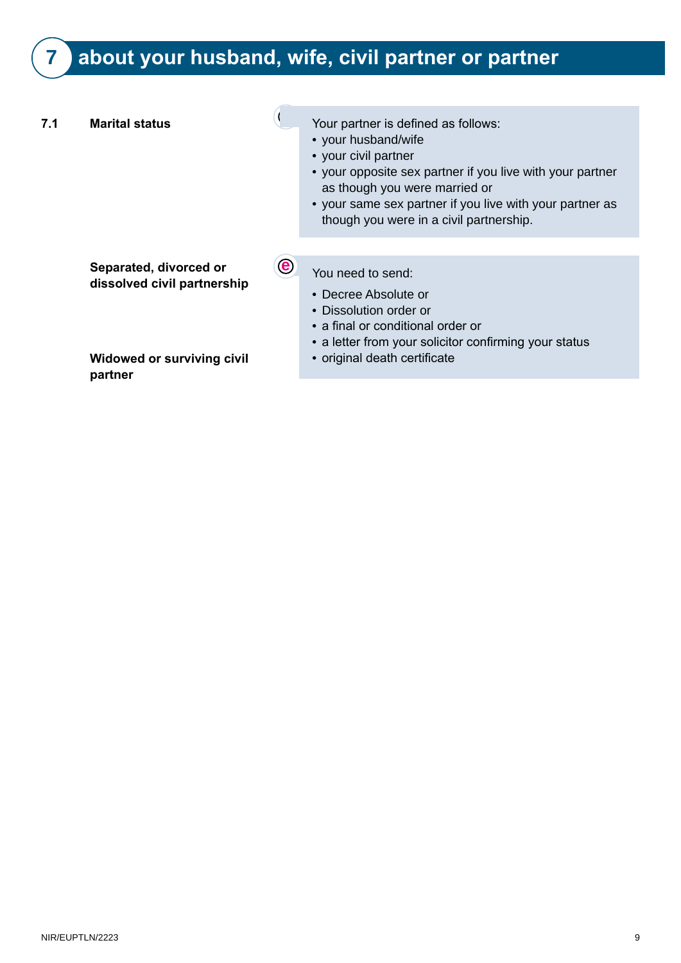## **7** about your husband, wife, civil partner or partner

| 7.1 | <b>Marital status</b>                                 |                          | Your partner is defined as follows:<br>• your husband/wife<br>• your civil partner<br>• your opposite sex partner if you live with your partner<br>as though you were married or<br>• your same sex partner if you live with your partner as<br>though you were in a civil partnership. |
|-----|-------------------------------------------------------|--------------------------|-----------------------------------------------------------------------------------------------------------------------------------------------------------------------------------------------------------------------------------------------------------------------------------------|
|     | Separated, divorced or<br>dissolved civil partnership | $\left( \bullet \right)$ | You need to send:<br>• Decree Absolute or<br>• Dissolution order or<br>• a final or conditional order or<br>• a letter from your solicitor confirming your status                                                                                                                       |
|     | <b>Widowed or surviving civil</b><br>partner          |                          | • original death certificate                                                                                                                                                                                                                                                            |
|     |                                                       |                          |                                                                                                                                                                                                                                                                                         |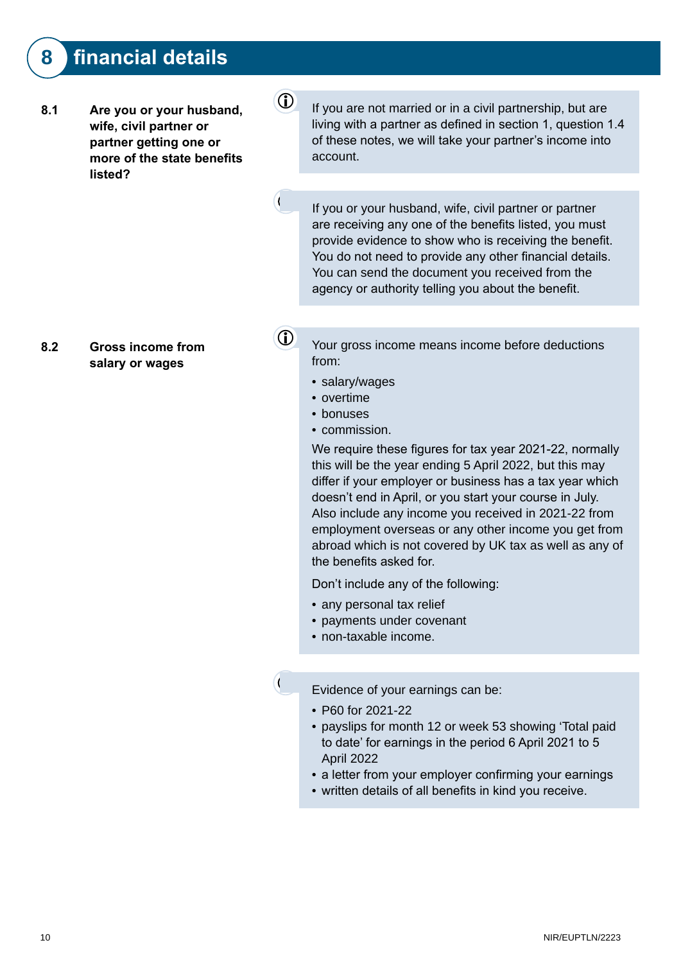### **8 financial details**

8.1 Are you or your husband, wife, civil partner or partner getting one or more of the state benefits **listed?**

 $\Phi$  If you are not married or in a civil partnership, but are living with a partner as defined in section 1, question 1.4 of these notes, we will take your partner's income into account.

**e** If you or your husband, wife, civil partner or partner are receiving any one of the benefits listed, you must provide evidence to show who is receiving the benefit. You do not need to provide any other financial details. You can send the document you received from the agency or authority telling you about the benefit.

8.2 Gross income from salary or wages

 $\overline{1}$  Your gross income means income before deductions from:

- salary/wages
- overtime
- bonuses
- commission.

We require these figures for tax year 2021-22, normally this will be the year ending 5 April 2022, but this may differ if your employer or business has a tax year which doesn't end in April, or you start your course in July. Also include any income you received in 2021-22 from employment overseas or any other income you get from abroad which is not covered by UK tax as well as any of the benefits asked for.

Don't include any of the following:

- any personal tax relief
- payments under covenant
- non-taxable income.

**e** Evidence of your earnings can be:

- P60 for 2021-22
- payslips for month 12 or week 53 showing 'Total paid to date' for earnings in the period 6 April 2021 to 5 April 2022
- a letter from your employer confirming your earnings
- written details of all benefits in kind you receive.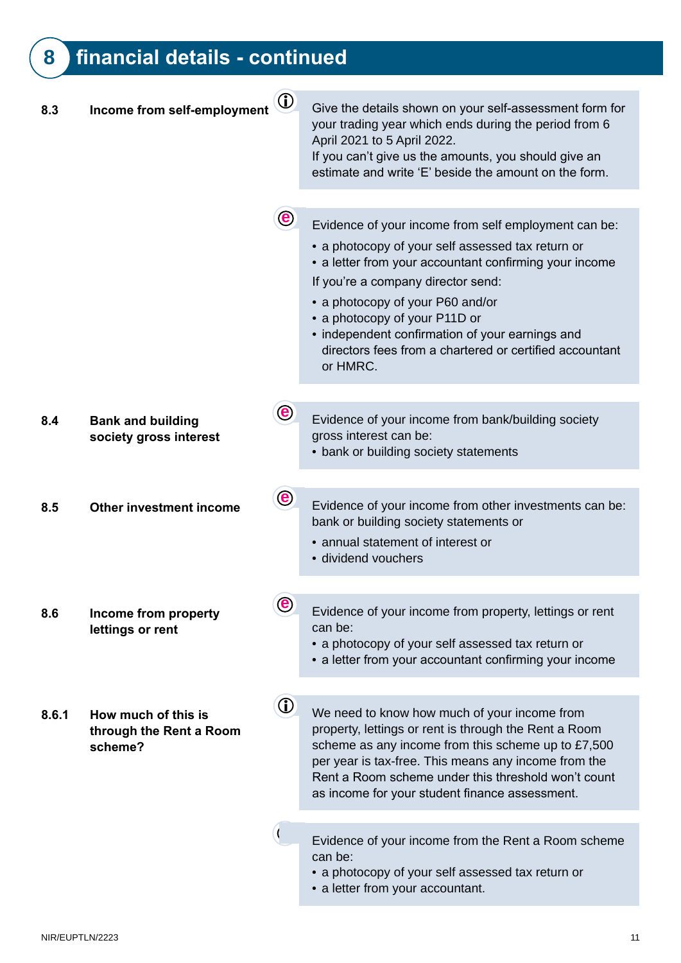## **8 financial details - continued**

| 8.3   | Income from self-employment                               | $\bigcirc$            | Give the details shown on your self-assessment form for<br>your trading year which ends during the period from 6<br>April 2021 to 5 April 2022.<br>If you can't give us the amounts, you should give an<br>estimate and write 'E' beside the amount on the form.                                                                                                                                         |
|-------|-----------------------------------------------------------|-----------------------|----------------------------------------------------------------------------------------------------------------------------------------------------------------------------------------------------------------------------------------------------------------------------------------------------------------------------------------------------------------------------------------------------------|
|       |                                                           |                       |                                                                                                                                                                                                                                                                                                                                                                                                          |
|       |                                                           | $\mathbf{e}$          | Evidence of your income from self employment can be:<br>• a photocopy of your self assessed tax return or<br>• a letter from your accountant confirming your income<br>If you're a company director send:<br>• a photocopy of your P60 and/or<br>• a photocopy of your P11D or<br>• independent confirmation of your earnings and<br>directors fees from a chartered or certified accountant<br>or HMRC. |
|       |                                                           |                       |                                                                                                                                                                                                                                                                                                                                                                                                          |
| 8.4   | <b>Bank and building</b><br>society gross interest        | $\boldsymbol{\Theta}$ | Evidence of your income from bank/building society<br>gross interest can be:<br>• bank or building society statements                                                                                                                                                                                                                                                                                    |
|       |                                                           |                       |                                                                                                                                                                                                                                                                                                                                                                                                          |
| 8.5   | <b>Other investment income</b>                            | $\bigcirc$            | Evidence of your income from other investments can be:<br>bank or building society statements or<br>• annual statement of interest or<br>· dividend vouchers                                                                                                                                                                                                                                             |
|       |                                                           |                       |                                                                                                                                                                                                                                                                                                                                                                                                          |
| 8.6   | Income from property<br>lettings or rent                  | $\bigcirc$            | Evidence of your income from property, lettings or rent<br>can be:<br>• a photocopy of your self assessed tax return or<br>• a letter from your accountant confirming your income                                                                                                                                                                                                                        |
|       |                                                           |                       |                                                                                                                                                                                                                                                                                                                                                                                                          |
| 8.6.1 | How much of this is<br>through the Rent a Room<br>scheme? | $\bigcirc$            | We need to know how much of your income from<br>property, lettings or rent is through the Rent a Room<br>scheme as any income from this scheme up to £7,500<br>per year is tax-free. This means any income from the<br>Rent a Room scheme under this threshold won't count<br>as income for your student finance assessment.                                                                             |
|       |                                                           |                       |                                                                                                                                                                                                                                                                                                                                                                                                          |
|       |                                                           |                       | Evidence of your income from the Rent a Room scheme<br>can be:<br>• a photocopy of your self assessed tax return or<br>• a letter from your accountant.                                                                                                                                                                                                                                                  |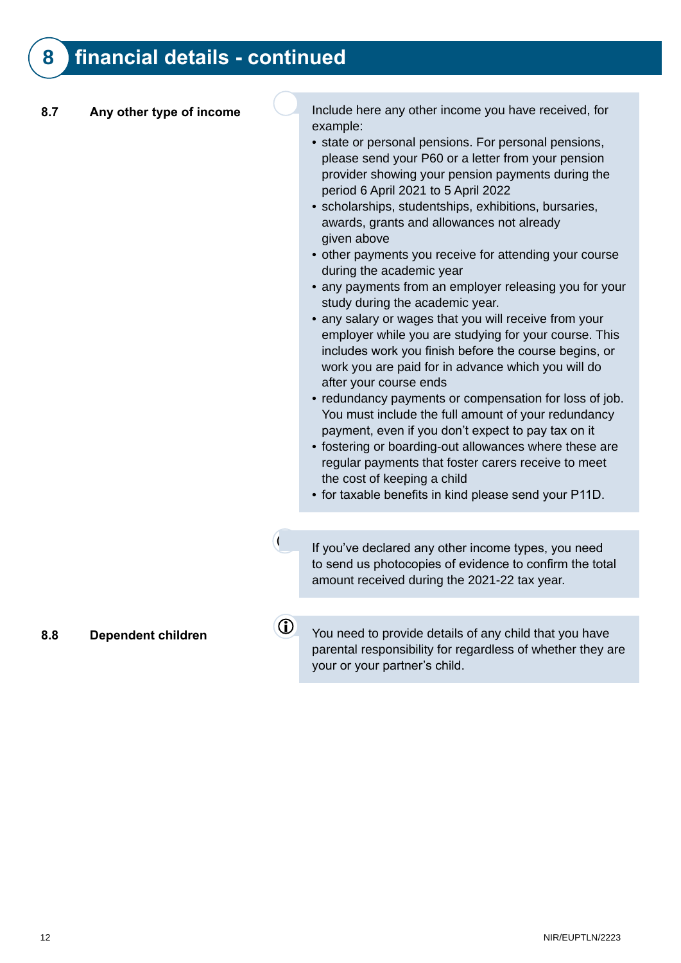### **8 financial details - continued**

**8.7** Any other type of income<br>Include here any other income you have received, for example:

- state or personal pensions. For personal pensions, please send your P60 or a letter from your pension provider showing your pension payments during the period 6 April 2021 to 5 April 2022
- scholarships, studentships, exhibitions, bursaries, awards, grants and allowances not already given above
- other payments you receive for attending your course during the academic year
- any payments from an employer releasing you for your study during the academic year.
- any salary or wages that you will receive from your employer while you are studying for your course. This includes work you finish before the course begins, or work you are paid for in advance which you will do after your course ends
- redundancy payments or compensation for loss of job. You must include the full amount of your redundancy payment, even if you don't expect to pay tax on it
- fostering or boarding-out allowances where these are regular payments that foster carers receive to meet the cost of keeping a child
- for taxable benefits in kind please send your P11D.

If you've declared any other income types, you need to send us photocopies of evidence to confirm the total amount received during the 2021-22 tax year.

1

**8.8** Dependent children **CO** You need to provide details of any child that you have parental responsibility for regardless of whether they are your or your partner's child.